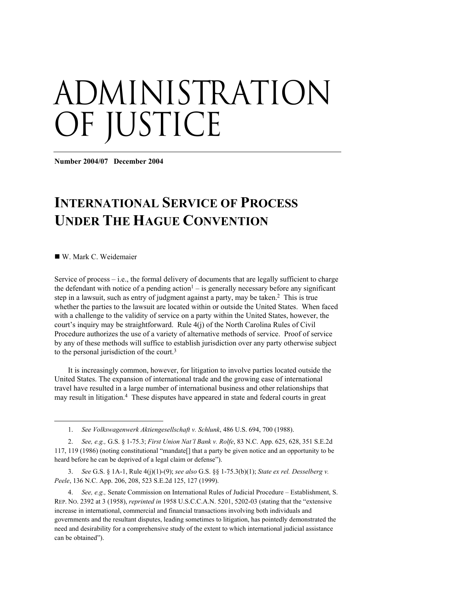# administration OF JUSTICE

**Number 2004/07 December 2004** 

# **INTERNATIONAL SERVICE OF PROCESS UNDER THE HAGUE CONVENTION**

W. Mark C. Weidemaier

-

Service of process – i.e., the formal delivery of documents that are legally sufficient to charge the defendant with notice of a pending action<sup>1</sup> – is generally necessary before any significant step in a lawsuit, such as entry of judgment against a party, may be taken.2 This is true whether the parties to the lawsuit are located within or outside the United States. When faced with a challenge to the validity of service on a party within the United States, however, the court's inquiry may be straightforward. Rule 4(j) of the North Carolina Rules of Civil Procedure authorizes the use of a variety of alternative methods of service. Proof of service by any of these methods will suffice to establish jurisdiction over any party otherwise subject to the personal jurisdiction of the court.3

It is increasingly common, however, for litigation to involve parties located outside the United States. The expansion of international trade and the growing ease of international travel have resulted in a large number of international business and other relationships that may result in litigation.4 These disputes have appeared in state and federal courts in great

4. *See, e.g.,* Senate Commission on International Rules of Judicial Procedure – Establishment, S. REP. NO. 2392 at 3 (1958), *reprinted in* 1958 U.S.C.C.A.N. 5201, 5202-03 (stating that the "extensive increase in international, commercial and financial transactions involving both individuals and governments and the resultant disputes, leading sometimes to litigation, has pointedly demonstrated the need and desirability for a comprehensive study of the extent to which international judicial assistance can be obtained").

<sup>1.</sup> *See Volkswagenwerk Aktiengesellschaft v. Schlunk*, 486 U.S. 694, 700 (1988).

<sup>2.</sup> *See, e.g.,* G.S. § 1-75.3; *First Union Nat'l Bank v. Rolfe*, 83 N.C. App. 625, 628, 351 S.E.2d 117, 119 (1986) (noting constitutional "mandate[] that a party be given notice and an opportunity to be heard before he can be deprived of a legal claim or defense").

<sup>3.</sup> *See* G.S. § 1A-1, Rule 4(j)(1)-(9); *see also* G.S. §§ 1-75.3(b)(1); *State ex rel. Desselberg v. Peele*, 136 N.C. App. 206, 208, 523 S.E.2d 125, 127 (1999).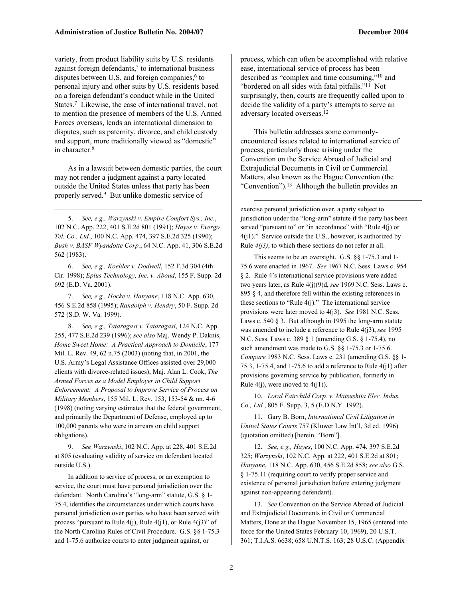variety, from product liability suits by U.S. residents against foreign defendants, $5$  to international business disputes between U.S. and foreign companies, $6$  to personal injury and other suits by U.S. residents based on a foreign defendant's conduct while in the United States.7 Likewise, the ease of international travel, not to mention the presence of members of the U.S. Armed Forces overseas, lends an international dimension to disputes, such as paternity, divorce, and child custody and support, more traditionally viewed as "domestic" in character.8

As in a lawsuit between domestic parties, the court may not render a judgment against a party located outside the United States unless that party has been properly served.9 But unlike domestic service of

5. *See, e.g., Warzynski v. Empire Comfort Sys., Inc.*, 102 N.C. App. 222, 401 S.E.2d 801 (1991); *Hayes v. Evergo Tel. Co., Ltd.*, 100 N.C. App. 474, 397 S.E.2d 325 (1990); *Bush v. BASF Wyandotte Corp.*, 64 N.C. App. 41, 306 S.E.2d 562 (1983).

 $\overline{a}$ 

6. *See, e.g., Koehler v. Dodwell*, 152 F.3d 304 (4th Cir. 1998); *Eplus Technology, Inc. v. Aboud*, 155 F. Supp. 2d 692 (E.D. Va. 2001).

7. *See, e.g., Hocke v. Hanyane*, 118 N.C. App. 630, 456 S.E.2d 858 (1995); *Randolph v. Hendry*, 50 F. Supp. 2d 572 (S.D. W. Va. 1999).

8. *See, e.g., Tataragasi v. Tataragasi*, 124 N.C. App. 255, 477 S.E.2d 239 (1996); *see also* Maj. Wendy P. Daknis, *Home Sweet Home: A Practical Approach to Domicile*, 177 Mil. L. Rev. 49, 62 n.75 (2003) (noting that, in 2001, the U.S. Army's Legal Assistance Offices assisted over 29,000 clients with divorce-related issues); Maj. Alan L. Cook, *The Armed Forces as a Model Employer in Child Support Enforcement: A Proposal to Improve Service of Process on Military Members*, 155 Mil. L. Rev. 153, 153-54 & nn. 4-6 (1998) (noting varying estimates that the federal government, and primarily the Department of Defense, employed up to 100,000 parents who were in arrears on child support obligations).

9. *See Warzynski*, 102 N.C. App. at 228, 401 S.E.2d at 805 (evaluating validity of service on defendant located outside U.S.).

In addition to service of process, or an exemption to service, the court must have personal jurisdiction over the defendant. North Carolina's "long-arm" statute, G.S. § 1- 75.4, identifies the circumstances under which courts have personal jurisdiction over parties who have been served with process "pursuant to Rule 4(j), Rule 4(j1), or Rule 4(j3)" of the North Carolina Rules of Civil Procedure. G.S. §§ 1-75.3 and 1-75.6 authorize courts to enter judgment against, or

process, which can often be accomplished with relative ease, international service of process has been

described as "complex and time consuming,"10 and "bordered on all sides with fatal pitfalls."11 Not surprisingly, then, courts are frequently called upon to decide the validity of a party's attempts to serve an adversary located overseas.12

This bulletin addresses some commonlyencountered issues related to international service of process, particularly those arising under the Convention on the Service Abroad of Judicial and Extrajudicial Documents in Civil or Commercial Matters, also known as the Hague Convention (the "Convention").<sup>13</sup> Although the bulletin provides an

 $\overline{a}$ 

exercise personal jurisdiction over, a party subject to jurisdiction under the "long-arm" statute if the party has been served "pursuant to" or "in accordance" with "Rule 4(j) or 4(j1)." Service outside the U.S., however, is authorized by Rule *4(j3)*, to which these sections do not refer at all.

This seems to be an oversight. G.S. §§ 1-75.3 and 1- 75.6 were enacted in 1967. *See* 1967 N.C. Sess. Laws c. 954 § 2. Rule 4's international service provisions were added two years later, as Rule 4(j)(9)d, *see* 1969 N.C. Sess. Laws c. 895 § 4, and therefore fell within the existing references in these sections to "Rule  $4(j)$ ." The international service provisions were later moved to 4(j3). *See* 1981 N.C. Sess. Laws c. 540 § 3. But although in 1995 the long-arm statute was amended to include a reference to Rule 4(j3), *see* 1995 N.C. Sess. Laws c. 389 § 1 (amending G.S. § 1-75.4), no such amendment was made to G.S. §§ 1-75.3 or 1-75.6. *Compare* 1983 N.C. Sess. Laws c. 231 (amending G.S. §§ 1- 75.3, 1-75.4, and 1-75.6 to add a reference to Rule 4(j1) after provisions governing service by publication, formerly in Rule  $4(j)$ , were moved to  $4(j1)$ ).

10. *Loral Fairchild Corp. v. Matsushita Elec. Indus. Co., Ltd.*, 805 F. Supp. 3, 5 (E.D.N.Y. 1992).

11. Gary B. Born, *International Civil Litigation in United States Courts* 757 (Kluwer Law Int'l, 3d ed. 1996) (quotation omitted) [herein, "Born"].

12. *See, e.g., Hayes*, 100 N.C. App. 474, 397 S.E.2d 325; *Warzynski*, 102 N.C. App. at 222, 401 S.E.2d at 801; *Hanyane*, 118 N.C. App. 630, 456 S.E.2d 858; *see also* G.S. § 1-75.11 (requiring court to verify proper service and existence of personal jurisdiction before entering judgment against non-appearing defendant).

13. *See* Convention on the Service Abroad of Judicial and Extrajudicial Documents in Civil or Commercial Matters, Done at the Hague November 15, 1965 (entered into force for the United States February 10, 1969), 20 U.S.T. 361; T.I.A.S. 6638; 658 U.N.T.S. 163; 28 U.S.C. (Appendix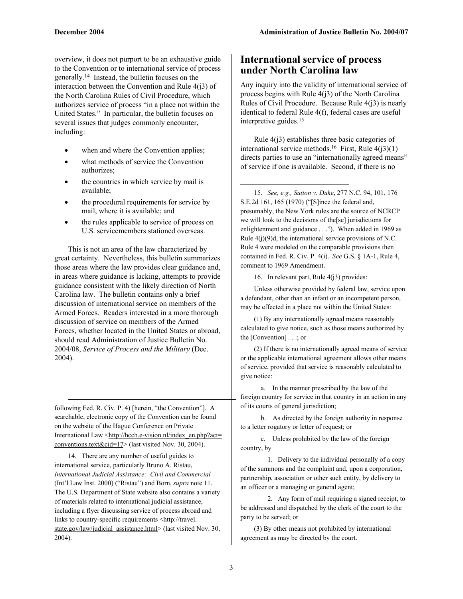overview, it does not purport to be an exhaustive guide to the Convention or to international service of process generally.14 Instead, the bulletin focuses on the interaction between the Convention and Rule 4(j3) of the North Carolina Rules of Civil Procedure, which authorizes service of process "in a place not within the United States." In particular, the bulletin focuses on several issues that judges commonly encounter, including:

- when and where the Convention applies;
- what methods of service the Convention authorizes;
- the countries in which service by mail is available;
- the procedural requirements for service by mail, where it is available; and
- the rules applicable to service of process on U.S. servicemembers stationed overseas.

This is not an area of the law characterized by great certainty. Nevertheless, this bulletin summarizes those areas where the law provides clear guidance and, in areas where guidance is lacking, attempts to provide guidance consistent with the likely direction of North Carolina law. The bulletin contains only a brief discussion of international service on members of the Armed Forces. Readers interested in a more thorough discussion of service on members of the Armed Forces, whether located in the United States or abroad, should read Administration of Justice Bulletin No. 2004/08, *Service of Process and the Military* (Dec. 2004).

following Fed. R. Civ. P. 4) [herein, "the Convention"]. A searchable, electronic copy of the Convention can be found on the website of the Hague Conference on Private International Law <http://hcch.e-vision.nl/index\_en.php?act= conventions.text&cid=17> (last visited Nov. 30, 2004).

 $\overline{a}$ 

14. There are any number of useful guides to international service, particularly Bruno A. Ristau, *International Judicial Assistance: Civil and Commercial* (Int'l Law Inst. 2000) ("Ristau") and Born, *supra* note 11. The U.S. Department of State website also contains a variety of materials related to international judicial assistance, including a flyer discussing service of process abroad and links to country-specific requirements <http://travel. state.gov/law/judicial\_assistance.html> (last visited Nov. 30, 2004).

# **International service of process under North Carolina law**

Any inquiry into the validity of international service of process begins with Rule 4(j3) of the North Carolina Rules of Civil Procedure. Because Rule  $4(i3)$  is nearly identical to federal Rule 4(f), federal cases are useful interpretive guides.15

Rule 4(j3) establishes three basic categories of international service methods.<sup>16</sup> First, Rule  $4(j3)(1)$ directs parties to use an "internationally agreed means" of service if one is available. Second, if there is no

15. *See, e.g., Sutton v. Duke*, 277 N.C. 94, 101, 176 S.E.2d 161, 165 (1970) ("[S]ince the federal and, presumably, the New York rules are the source of NCRCP we will look to the decisions of the[se] jurisdictions for enlightenment and guidance . . ."). When added in 1969 as Rule  $4(j)(9)$ d, the international service provisions of N.C. Rule 4 were modeled on the comparable provisions then contained in Fed. R. Civ. P. 4(i). *See* G.S. § 1A-1, Rule 4, comment to 1969 Amendment.

16. In relevant part, Rule 4(j3) provides:

Unless otherwise provided by federal law, service upon a defendant, other than an infant or an incompetent person, may be effected in a place not within the United States:

(1) By any internationally agreed means reasonably calculated to give notice, such as those means authorized by the [Convention] . . .; or

(2) If there is no internationally agreed means of service or the applicable international agreement allows other means of service, provided that service is reasonably calculated to give notice:

a. In the manner prescribed by the law of the foreign country for service in that country in an action in any of its courts of general jurisdiction;

b. As directed by the foreign authority in response to a letter rogatory or letter of request; or

c. Unless prohibited by the law of the foreign country, by

1. Delivery to the individual personally of a copy of the summons and the complaint and, upon a corporation, partnership, association or other such entity, by delivery to an officer or a managing or general agent;

2. Any form of mail requiring a signed receipt, to be addressed and dispatched by the clerk of the court to the party to be served; or

(3) By other means not prohibited by international agreement as may be directed by the court.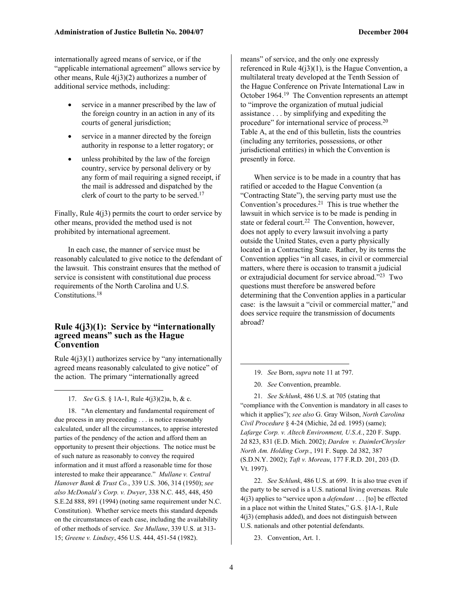internationally agreed means of service, or if the "applicable international agreement" allows service by other means, Rule  $4(i3)(2)$  authorizes a number of additional service methods, including:

- service in a manner prescribed by the law of the foreign country in an action in any of its courts of general jurisdiction;
- service in a manner directed by the foreign authority in response to a letter rogatory; or
- unless prohibited by the law of the foreign country, service by personal delivery or by any form of mail requiring a signed receipt, if the mail is addressed and dispatched by the clerk of court to the party to be served.17

Finally, Rule 4(j3) permits the court to order service by other means, provided the method used is not prohibited by international agreement.

In each case, the manner of service must be reasonably calculated to give notice to the defendant of the lawsuit. This constraint ensures that the method of service is consistent with constitutional due process requirements of the North Carolina and U.S. Constitutions.18

# **Rule 4(j3)(1): Service by "internationally agreed means" such as the Hague Convention**

Rule  $4(i3)(1)$  authorizes service by "any internationally agreed means reasonably calculated to give notice" of the action. The primary "internationally agreed

17. *See* G.S. § 1A-1, Rule 4(j3)(2)a, b, & c.

 $\overline{a}$ 

18. "An elementary and fundamental requirement of due process in any proceeding . . . is notice reasonably calculated, under all the circumstances, to apprise interested parties of the pendency of the action and afford them an opportunity to present their objections. The notice must be of such nature as reasonably to convey the required information and it must afford a reasonable time for those interested to make their appearance." *Mullane v. Central Hanover Bank & Trust Co.*, 339 U.S. 306, 314 (1950); *see also McDonald's Corp. v. Dwyer*, 338 N.C. 445, 448, 450 S.E.2d 888, 891 (1994) (noting same requirement under N.C. Constitution). Whether service meets this standard depends on the circumstances of each case, including the availability of other methods of service. *See Mullane*, 339 U.S. at 313- 15; *Greene v. Lindsey*, 456 U.S. 444, 451-54 (1982).

means" of service, and the only one expressly referenced in Rule  $4(j3)(1)$ , is the Hague Convention, a multilateral treaty developed at the Tenth Session of the Hague Conference on Private International Law in October 1964.19 The Convention represents an attempt to "improve the organization of mutual judicial assistance . . . by simplifying and expediting the procedure" for international service of process.20 Table A, at the end of this bulletin, lists the countries (including any territories, possessions, or other jurisdictional entities) in which the Convention is presently in force.

When service is to be made in a country that has ratified or acceded to the Hague Convention (a "Contracting State"), the serving party must use the Convention's procedures. $2<sup>1</sup>$  This is true whether the lawsuit in which service is to be made is pending in state or federal court.<sup>22</sup> The Convention, however, does not apply to every lawsuit involving a party outside the United States, even a party physically located in a Contracting State. Rather, by its terms the Convention applies "in all cases, in civil or commercial matters, where there is occasion to transmit a judicial or extrajudicial document for service abroad."23 Two questions must therefore be answered before determining that the Convention applies in a particular case: is the lawsuit a "civil or commercial matter," and does service require the transmission of documents abroad?

- 19. *See* Born, *supra* note 11 at 797.
- 20. *See* Convention, preamble.

21. *See Schlunk*, 486 U.S. at 705 (stating that "compliance with the Convention is mandatory in all cases to which it applies"); *see also* G. Gray Wilson, *North Carolina Civil Procedure* § 4-24 (Michie, 2d ed. 1995) (same); *Lafarge Corp. v. Altech Environment, U.S.A.*, 220 F. Supp. 2d 823, 831 (E.D. Mich. 2002); *Darden v. DaimlerChrysler North Am. Holding Corp.*, 191 F. Supp. 2d 382, 387 (S.D.N.Y. 2002); *Taft v. Moreau*, 177 F.R.D. 201, 203 (D. Vt. 1997).

22. *See Schlunk*, 486 U.S. at 699. It is also true even if the party to be served is a U.S. national living overseas. Rule 4(j3) applies to "service upon a *defendant* . . . [to] be effected in a place not within the United States," G.S. §1A-1, Rule 4(j3) (emphasis added), and does not distinguish between U.S. nationals and other potential defendants.

23. Convention, Art. 1.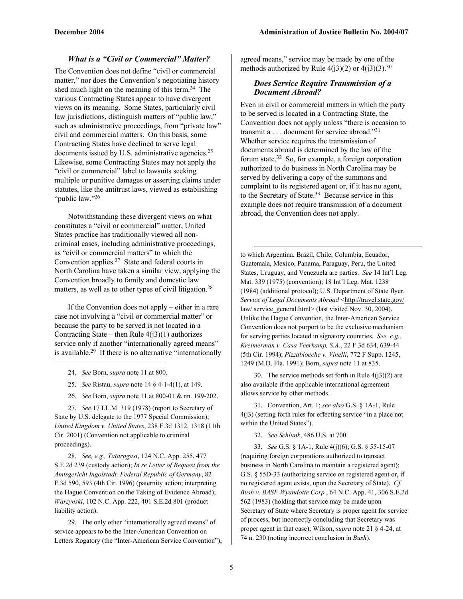# *What is a "Civil or Commercial" Matter?*

The Convention does not define "civil or commercial matter," nor does the Convention's negotiating history shed much light on the meaning of this term.24 The various Contracting States appear to have divergent views on its meaning. Some States, particularly civil law jurisdictions, distinguish matters of "public law," such as administrative proceedings, from "private law" civil and commercial matters. On this basis, some Contracting States have declined to serve legal documents issued by U.S. administrative agencies.<sup>25</sup> Likewise, some Contracting States may not apply the "civil or commercial" label to lawsuits seeking multiple or punitive damages or asserting claims under statutes, like the antitrust laws, viewed as establishing "public law."26

Notwithstanding these divergent views on what constitutes a "civil or commercial" matter, United States practice has traditionally viewed all noncriminal cases, including administrative proceedings, as "civil or commercial matters" to which the Convention applies.27 State and federal courts in North Carolina have taken a similar view, applying the Convention broadly to family and domestic law matters, as well as to other types of civil litigation.<sup>28</sup>

If the Convention does not apply – either in a rare case not involving a "civil or commercial matter" or because the party to be served is not located in a Contracting State – then Rule  $4(i3)(1)$  authorizes service only if another "internationally agreed means" is available.29 If there is no alternative "internationally

24. *See* Born, *supra* note 11 at 800.

1

- 25. *See* Ristau, *supra* note 14 § 4-1-4(1), at 149.
- 26. *See* Born, *supra* note 11 at 800-01 & nn. 199-202.

27. *See* 17 I.L.M. 319 (1978) (report to Secretary of State by U.S. delegate to the 1977 Special Commission); *United Kingdom v. United States*, 238 F.3d 1312, 1318 (11th Cir. 2001) (Convention not applicable to criminal proceedings).

28. *See, e.g., Tataragasi*, 124 N.C. App. 255, 477 S.E.2d 239 (custody action); *In re Letter of Request from the Amtsgericht Ingolstadt, Federal Republic of Germany*, 82 F.3d 590, 593 (4th Cir. 1996) (paternity action; interpreting the Hague Convention on the Taking of Evidence Abroad); *Warzynski*, 102 N.C. App. 222, 401 S.E.2d 801 (product liability action).

29. The only other "internationally agreed means" of service appears to be the Inter-American Convention on Letters Rogatory (the "Inter-American Service Convention"), agreed means," service may be made by one of the methods authorized by Rule  $4(i3)(2)$  or  $4(i3)(3)$ .<sup>30</sup>

# *Does Service Require Transmission of a Document Abroad?*

Even in civil or commercial matters in which the party to be served is located in a Contracting State, the Convention does not apply unless "there is occasion to transmit a . . . document for service abroad."31 Whether service requires the transmission of documents abroad is determined by the law of the forum state.32 So, for example, a foreign corporation authorized to do business in North Carolina may be served by delivering a copy of the summons and complaint to its registered agent or, if it has no agent, to the Secretary of State.<sup>33</sup> Because service in this example does not require transmission of a document abroad, the Convention does not apply.

to which Argentina, Brazil, Chile, Columbia, Ecuador, Guatemala, Mexico, Panama, Paraguay, Peru, the United States, Uruguay, and Venezuela are parties. *See* 14 Int'l Leg. Mat. 339 (1975) (convention); 18 Int'l Leg. Mat. 1238 (1984) (additional protocol); U.S. Department of State flyer, Service of Legal Documents Abroad <http://travel.state.gov/ law/ service\_general.html> (last visited Nov. 30, 2004). Unlike the Hague Convention, the Inter-American Service Convention does not purport to be the exclusive mechanism for serving parties located in signatory countries. *See, e.g., Kreimerman v. Casa Veerkamp, S.A.*, 22 F.3d 634, 639-44 (5th Cir. 1994); *Pizzabiocche v. Vinelli*, 772 F Supp. 1245, 1249 (M.D. Fla. 1991); Born, *supra* note 11 at 835.

1

30. The service methods set forth in Rule  $4(j3)(2)$  are also available if the applicable international agreement allows service by other methods.

31. Convention, Art. 1; *see also* G.S. § 1A-1, Rule 4(j3) (setting forth rules for effecting service "in a place not within the United States").

32. *See Schlunk*, 486 U.S. at 700.

33. *See* G.S. § 1A-1, Rule 4(j)(6); G.S. § 55-15-07 (requiring foreign corporations authorized to transact business in North Carolina to maintain a registered agent); G.S. § 55D-33 (authorizing service on registered agent or, if no registered agent exists, upon the Secretary of State). *Cf. Bush v. BASF Wyandotte Corp.*, 64 N.C. App. 41, 306 S.E.2d 562 (1983) (holding that service may be made upon Secretary of State where Secretary is proper agent for service of process, but incorrectly concluding that Secretary was proper agent in that case); Wilson, *supra* note 21 § 4-24, at 74 n. 230 (noting incorrect conclusion in *Bush*).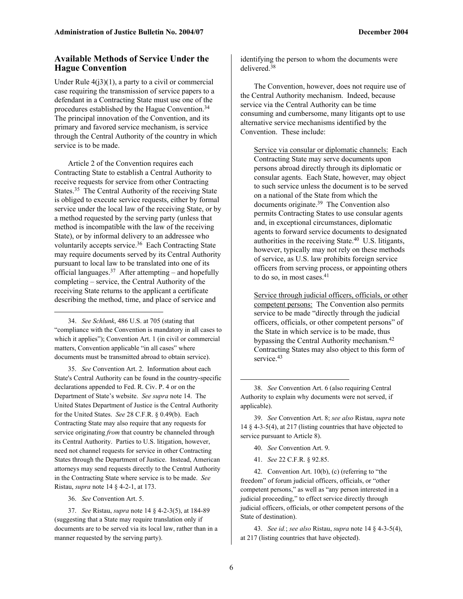# **Available Methods of Service Under the Hague Convention**

Under Rule  $4(j3)(1)$ , a party to a civil or commercial case requiring the transmission of service papers to a defendant in a Contracting State must use one of the procedures established by the Hague Convention.34 The principal innovation of the Convention, and its primary and favored service mechanism, is service through the Central Authority of the country in which service is to be made.

Article 2 of the Convention requires each Contracting State to establish a Central Authority to receive requests for service from other Contracting States.35 The Central Authority of the receiving State is obliged to execute service requests, either by formal service under the local law of the receiving State, or by a method requested by the serving party (unless that method is incompatible with the law of the receiving State), or by informal delivery to an addressee who voluntarily accepts service.36 Each Contracting State may require documents served by its Central Authority pursuant to local law to be translated into one of its official languages. $37$  After attempting – and hopefully completing – service, the Central Authority of the receiving State returns to the applicant a certificate describing the method, time, and place of service and

34. *See Schlunk*, 486 U.S. at 705 (stating that "compliance with the Convention is mandatory in all cases to which it applies"); Convention Art. 1 (in civil or commercial matters, Convention applicable "in all cases" where documents must be transmitted abroad to obtain service).

35. *See* Convention Art. 2. Information about each State's Central Authority can be found in the country-specific declarations appended to Fed. R. Civ. P. 4 or on the Department of State's website. *See supra* note 14. The United States Department of Justice is the Central Authority for the United States. *See* 28 C.F.R. § 0.49(b). Each Contracting State may also require that any requests for service originating *from* that country be channeled through its Central Authority. Parties to U.S. litigation, however, need not channel requests for service in other Contracting States through the Department of Justice. Instead, American attorneys may send requests directly to the Central Authority in the Contracting State where service is to be made. *See* Ristau, *supra* note 14 § 4-2-1, at 173.

36. *See* Convention Art. 5.

 $\overline{a}$ 

37. *See* Ristau, *supra* note 14 § 4-2-3(5), at 184-89 (suggesting that a State may require translation only if documents are to be served via its local law, rather than in a manner requested by the serving party).

identifying the person to whom the documents were delivered<sup>38</sup>

The Convention, however, does not require use of the Central Authority mechanism. Indeed, because service via the Central Authority can be time consuming and cumbersome, many litigants opt to use alternative service mechanisms identified by the Convention. These include:

Service via consular or diplomatic channels: Each Contracting State may serve documents upon persons abroad directly through its diplomatic or consular agents. Each State, however, may object to such service unless the document is to be served on a national of the State from which the documents originate.39 The Convention also permits Contracting States to use consular agents and, in exceptional circumstances, diplomatic agents to forward service documents to designated authorities in the receiving State.40 U.S. litigants, however, typically may not rely on these methods of service, as U.S. law prohibits foreign service officers from serving process, or appointing others to do so, in most cases.<sup>41</sup>

Service through judicial officers, officials, or other competent persons: The Convention also permits service to be made "directly through the judicial officers, officials, or other competent persons" of the State in which service is to be made, thus bypassing the Central Authority mechanism.42 Contracting States may also object to this form of service.<sup>43</sup>

- 40. *See* Convention Art. 9.
- 41. *See* 22 C.F.R. § 92.85.

42. Convention Art. 10(b), (c) (referring to "the freedom" of forum judicial officers, officials, or "other competent persons," as well as "any person interested in a judicial proceeding," to effect service directly through judicial officers, officials, or other competent persons of the State of destination).

43. *See id.*; *see also* Ristau, *supra* note 14 § 4-3-5(4), at 217 (listing countries that have objected).

<sup>38.</sup> *See* Convention Art. 6 (also requiring Central Authority to explain why documents were not served, if applicable).

<sup>39.</sup> *See* Convention Art. 8; *see also* Ristau, *supra* note 14 § 4-3-5(4), at 217 (listing countries that have objected to service pursuant to Article 8).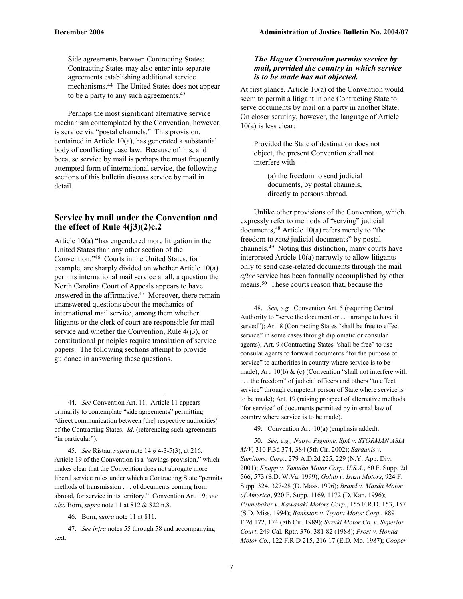Side agreements between Contracting States: Contracting States may also enter into separate agreements establishing additional service mechanisms.44 The United States does not appear to be a party to any such agreements.45

Perhaps the most significant alternative service mechanism contemplated by the Convention, however, is service via "postal channels." This provision, contained in Article 10(a), has generated a substantial body of conflicting case law. Because of this, and because service by mail is perhaps the most frequently attempted form of international service, the following sections of this bulletin discuss service by mail in detail.

# **Service by mail under the Convention and the effect of Rule 4(j3)(2)c.2**

Article 10(a) "has engendered more litigation in the United States than any other section of the Convention."46 Courts in the United States, for example, are sharply divided on whether Article 10(a) permits international mail service at all, a question the North Carolina Court of Appeals appears to have answered in the affirmative.47 Moreover, there remain unanswered questions about the mechanics of international mail service, among them whether litigants or the clerk of court are responsible for mail service and whether the Convention, Rule 4(j3), or constitutional principles require translation of service papers. The following sections attempt to provide guidance in answering these questions.

44. *See* Convention Art. 11. Article 11 appears primarily to contemplate "side agreements" permitting "direct communication between [the] respective authorities" of the Contracting States. *Id*. (referencing such agreements "in particular").

45. *See* Ristau, *supra* note 14 § 4-3-5(3), at 216. Article 19 of the Convention is a "savings provision," which makes clear that the Convention does not abrogate more liberal service rules under which a Contracting State "permits methods of transmission . . . of documents coming from abroad, for service in its territory." Convention Art. 19; *see also* Born, *supra* note 11 at 812 & 822 n.8.

 $\overline{a}$ 

# *The Hague Convention permits service by mail, provided the country in which service is to be made has not objected.*

At first glance, Article 10(a) of the Convention would seem to permit a litigant in one Contracting State to serve documents by mail on a party in another State. On closer scrutiny, however, the language of Article 10(a) is less clear:

Provided the State of destination does not object, the present Convention shall not interfere with —

> (a) the freedom to send judicial documents, by postal channels, directly to persons abroad.

Unlike other provisions of the Convention, which expressly refer to methods of "serving" judicial documents,48 Article 10(a) refers merely to "the freedom to *send* judicial documents" by postal channels.49 Noting this distinction, many courts have interpreted Article 10(a) narrowly to allow litigants only to send case-related documents through the mail *after* service has been formally accomplished by other means.50 These courts reason that, because the

48. *See, e.g.,* Convention Art. 5 (requiring Central Authority to "serve the document or . . . arrange to have it served"); Art. 8 (Contracting States "shall be free to effect service" in some cases through diplomatic or consular agents); Art. 9 (Contracting States "shall be free" to use consular agents to forward documents "for the purpose of service" to authorities in country where service is to be made); Art. 10(b) & (c) (Convention "shall not interfere with . . . the freedom" of judicial officers and others "to effect service" through competent person of State where service is to be made); Art. 19 (raising prospect of alternative methods "for service" of documents permitted by internal law of country where service is to be made).

49. Convention Art. 10(a) (emphasis added).

50. *See, e.g., Nuovo Pignone, SpA v. STORMAN ASIA M/V*, 310 F.3d 374, 384 (5th Cir. 2002); *Sardanis v. Sumitomo Corp.*, 279 A.D.2d 225, 229 (N.Y. App. Div. 2001); *Knapp v. Yamaha Motor Corp. U.S.A.*, 60 F. Supp. 2d 566, 573 (S.D. W.Va. 1999); *Golub v. Isuzu Motors*, 924 F. Supp. 324, 327-28 (D. Mass. 1996); *Brand v. Mazda Motor of America*, 920 F. Supp. 1169, 1172 (D. Kan. 1996); *Pennebaker v. Kawasaki Motors Corp.*, 155 F.R.D. 153, 157 (S.D. Miss. 1994); *Bankston v. Toyota Motor Corp.*, 889 F.2d 172, 174 (8th Cir. 1989); *Suzuki Motor Co. v. Superior Court*, 249 Cal. Rptr. 376, 381-82 (1988); *Prost v. Honda Motor Co.*, 122 F.R.D 215, 216-17 (E.D. Mo. 1987); *Cooper* 

-

<sup>46.</sup> Born, *supra* note 11 at 811.

<sup>47.</sup> *See infra* notes 55 through 58 and accompanying text.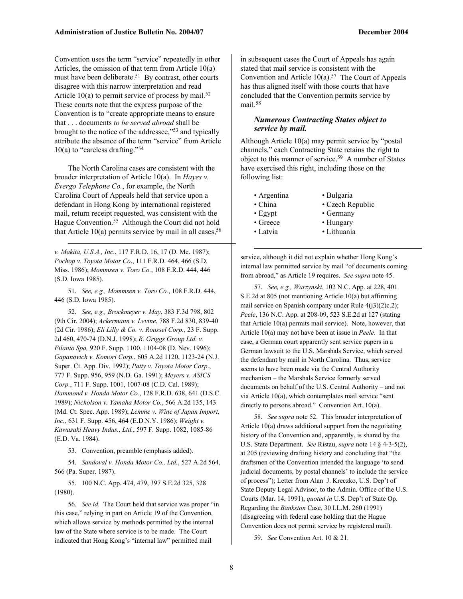Convention uses the term "service" repeatedly in other Articles, the omission of that term from Article 10(a) must have been deliberate.<sup>51</sup> By contrast, other courts disagree with this narrow interpretation and read Article 10(a) to permit service of process by mail.<sup>52</sup> These courts note that the express purpose of the Convention is to "create appropriate means to ensure that . . . documents *to be served abroad* shall be brought to the notice of the addressee,"53 and typically attribute the absence of the term "service" from Article 10(a) to "careless drafting."54

The North Carolina cases are consistent with the broader interpretation of Article 10(a). In *Hayes v. Evergo Telephone Co.*, for example, the North Carolina Court of Appeals held that service upon a defendant in Hong Kong by international registered mail, return receipt requested, was consistent with the Hague Convention.<sup>55</sup> Although the Court did not hold that Article  $10(a)$  permits service by mail in all cases,  $56$ 

*v. Makita, U.S.A., Inc.*, 117 F.R.D. 16, 17 (D. Me. 1987); *Pochop v. Toyota Motor Co*., 111 F.R.D. 464, 466 (S.D. Miss. 1986); *Mommsen v. Toro Co.*, 108 F.R.D. 444, 446 (S.D. Iowa 1985).

 $\overline{a}$ 

51. *See, e.g., Mommsen v. Toro Co.*, 108 F.R.D. 444, 446 (S.D. Iowa 1985).

52. *See, e.g., Brockmeyer v. May*, 383 F.3d 798, 802 (9th Cir. 2004); *Ackermann v. Levine*, 788 F.2d 830, 839-40 (2d Cir. 1986); *Eli Lilly & Co. v. Roussel Corp.*, 23 F. Supp. 2d 460, 470-74 (D.N.J. 1998); *R. Griggs Group Ltd. v. Filanto Spa,* 920 F. Supp. 1100, 1104-08 (D. Nev. 1996); *Gapanovich v. Komori Corp.*, 605 A.2d 1120, 1123-24 (N.J. Super. Ct. App. Div. 1992); *Patty v. Toyota Motor Corp*., 777 F. Supp. 956, 959 (N.D. Ga. 1991); *Meyers v. ASICS Corp.*, 711 F. Supp. 1001, 1007-08 (C.D. Cal. 1989); *Hammond v. Honda Motor Co.*, 128 F.R.D. 638, 641 (D.S.C. 1989); *Nicholson v. Yamaha Motor Co.*, 566 A.2d 135, 143 (Md. Ct. Spec. App. 1989); *Lemme v. Wine of Japan Import, Inc.*, 631 F. Supp. 456, 464 (E.D.N.Y. 1986); *Weight v. Kawasaki Heavy Indus., Ltd.*, 597 F. Supp. 1082, 1085-86 (E.D. Va. 1984).

53. Convention, preamble (emphasis added).

54. *Sandoval v. Honda Motor Co., Ltd.*, 527 A.2d 564, 566 (Pa. Super. 1987).

55. 100 N.C. App. 474, 479, 397 S.E.2d 325, 328 (1980).

56. *See id.* The Court held that service was proper "in this case," relying in part on Article 19 of the Convention, which allows service by methods permitted by the internal law of the State where service is to be made. The Court indicated that Hong Kong's "internal law" permitted mail

in subsequent cases the Court of Appeals has again stated that mail service is consistent with the Convention and Article  $10(a)$ .<sup>57</sup> The Court of Appeals has thus aligned itself with those courts that have concluded that the Convention permits service by mail.58

#### *Numerous Contracting States object to service by mail.*

Although Article 10(a) may permit service by "postal channels," each Contracting State retains the right to object to this manner of service.59 A number of States have exercised this right, including those on the following list:

- Argentina Bulgaria
- 
- Egypt Germany
- China Czech Republic
	-
	-
- 

-

- Greece Hungary
- Latvia Lithuania

service, although it did not explain whether Hong Kong's internal law permitted service by mail "of documents coming from abroad," as Article 19 requires. *See supra* note 45.

57. *See, e.g., Warzynski*, 102 N.C. App. at 228, 401 S.E.2d at 805 (not mentioning Article 10(a) but affirming mail service on Spanish company under Rule 4(j3)(2)c.2); *Peele*, 136 N.C. App. at 208-09, 523 S.E.2d at 127 (stating that Article 10(a) permits mail service). Note, however, that Article 10(a) may not have been at issue in *Peele*. In that case, a German court apparently sent service papers in a German lawsuit to the U.S. Marshals Service, which served the defendant by mail in North Carolina. Thus, service seems to have been made via the Central Authority mechanism – the Marshals Service formerly served documents on behalf of the U.S. Central Authority – and not via Article 10(a), which contemplates mail service "sent directly to persons abroad." Convention Art. 10(a).

58. *See supra* note 52. This broader interpretation of Article 10(a) draws additional support from the negotiating history of the Convention and, apparently, is shared by the U.S. State Department. *See* Ristau, *supra* note 14 § 4-3-5(2), at 205 (reviewing drafting history and concluding that "the draftsmen of the Convention intended the language 'to send judicial documents, by postal channels' to include the service of process"); Letter from Alan J. Kreczko, U.S. Dep't of State Deputy Legal Advisor, to the Admin. Office of the U.S. Courts (Mar. 14, 1991), *quoted in* U.S. Dep't of State Op. Regarding the *Bankston* Case, 30 I.L.M. 260 (1991) (disagreeing with federal case holding that the Hague Convention does not permit service by registered mail).

59. *See* Convention Art. 10 & 21.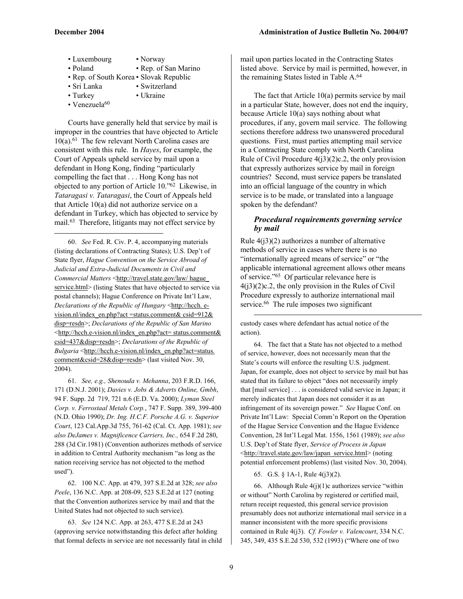- Luxembourg Norway • Poland • Rep. of San Marino
- Rep. of South Korea Slovak Republic
- Sri Lanka Switzerland
- Turkey Ukraine
- Venezuela $60$

 $\overline{a}$ 

Courts have generally held that service by mail is improper in the countries that have objected to Article  $10(a)$ .<sup>61</sup> The few relevant North Carolina cases are consistent with this rule. In *Hayes*, for example, the Court of Appeals upheld service by mail upon a defendant in Hong Kong, finding "particularly compelling the fact that . . . Hong Kong has not objected to any portion of Article 10."62 Likewise, in *Tataragasi v. Tataragasi*, the Court of Appeals held that Article 10(a) did not authorize service on a defendant in Turkey, which has objected to service by mail.63 Therefore, litigants may not effect service by

60. *See* Fed. R. Civ. P. 4, accompanying materials (listing declarations of Contracting States); U.S. Dep't of State flyer, *Hague Convention on the Service Abroad of Judicial and Extra-Judicial Documents in Civil and Commercial Matters* <http://travel.state.gov/law/ hague service.html> (listing States that have objected to service via postal channels); Hague Conference on Private Int'l Law, *Declarations of the Republic of Hungary* <http://hcch. evision.nl/index\_en.php?act =status.comment& csid=912& disp=resdn>; *Declarations of the Republic of San Marino* <http://hcch.e-vision.nl/index\_en.php?act= status.comment& csid=437&disp=resdn>; *Declarations of the Republic of Bulgaria* <http://hcch.e-vision.nl/index\_en.php?act=status. comment&csid=28&disp=resdn> (last visited Nov. 30, 2004).

61. *See, e.g., Shenouda v. Mehanna*, 203 F.R.D. 166, 171 (D.N.J. 2001); *Davies v. Jobs & Adverts Online, Gmbh*, 94 F. Supp. 2d 719, 721 n.6 (E.D. Va. 2000); *Lyman Steel Corp. v. Ferrostaal Metals Corp.*, 747 F. Supp. 389, 399-400 (N.D. Ohio 1990); *Dr. Ing. H.C.F. Porsche A.G. v. Superior Court*, 123 Cal.App.3d 755, 761-62 (Cal. Ct. App. 1981); *see also DeJames v. Magnificence Carriers, Inc.,* 654 F.2d 280, 288 (3d Cir.1981) (Convention authorizes methods of service in addition to Central Authority mechanism "as long as the nation receiving service has not objected to the method used").

62. 100 N.C. App. at 479, 397 S.E.2d at 328; *see also Peele*, 136 N.C. App. at 208-09, 523 S.E.2d at 127 (noting that the Convention authorizes service by mail and that the United States had not objected to such service).

63. *See* 124 N.C. App. at 263, 477 S.E.2d at 243 (approving service notwithstanding this defect after holding that formal defects in service are not necessarily fatal in child mail upon parties located in the Contracting States listed above. Service by mail is permitted, however, in the remaining States listed in Table A.<sup>64</sup>

The fact that Article 10(a) permits service by mail in a particular State, however, does not end the inquiry, because Article 10(a) says nothing about what procedures, if any, govern mail service. The following sections therefore address two unanswered procedural questions. First, must parties attempting mail service in a Contracting State comply with North Carolina Rule of Civil Procedure  $4(j3)(2)c.2$ , the only provision that expressly authorizes service by mail in foreign countries? Second, must service papers be translated into an official language of the country in which service is to be made, or translated into a language spoken by the defendant?

# *Procedural requirements governing service by mail*

Rule  $4(i3)(2)$  authorizes a number of alternative methods of service in cases where there is no "internationally agreed means of service" or "the applicable international agreement allows other means of service."65 Of particular relevance here is  $4(j3)(2)c.2$ , the only provision in the Rules of Civil Procedure expressly to authorize international mail service.<sup>66</sup> The rule imposes two significant

custody cases where defendant has actual notice of the action).

 $\overline{a}$ 

64. The fact that a State has not objected to a method of service, however, does not necessarily mean that the State's courts will enforce the resulting U.S. judgment. Japan, for example, does not object to service by mail but has stated that its failure to object "does not necessarily imply that [mail service] . . . is considered valid service in Japan; it merely indicates that Japan does not consider it as an infringement of its sovereign power." *See* Hague Conf. on Private Int'l Law: Special Comm'n Report on the Operation of the Hague Service Convention and the Hague Evidence Convention, 28 Int'l Legal Mat. 1556, 1561 (1989); *see also* U.S. Dep't of State flyer, *Service of Process in Japan* <http://travel.state.gov/law/japan\_service.html> (noting potential enforcement problems) (last visited Nov. 30, 2004).

65. G.S. § 1A-1, Rule 4(j3)(2).

66. Although Rule  $4(j)(1)c$  authorizes service "within or without" North Carolina by registered or certified mail, return receipt requested, this general service provision presumably does not authorize international mail service in a manner inconsistent with the more specific provisions contained in Rule 4(j3). *Cf. Fowler v. Valencourt*, 334 N.C. 345, 349, 435 S.E.2d 530, 532 (1993) ("Where one of two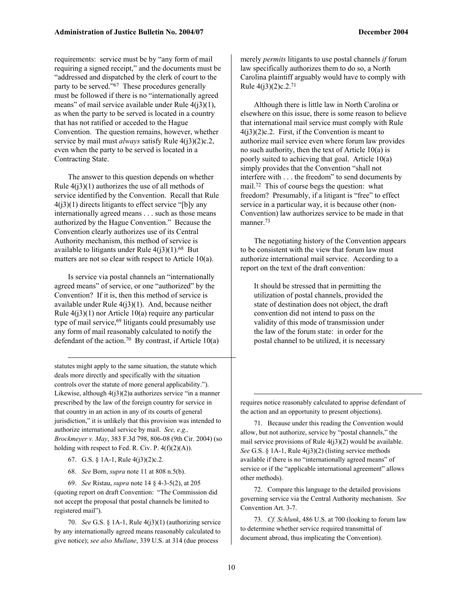requirements: service must be by "any form of mail requiring a signed receipt," and the documents must be "addressed and dispatched by the clerk of court to the party to be served."67 These procedures generally must be followed if there is no "internationally agreed means" of mail service available under Rule  $4(i3)(1)$ , as when the party to be served is located in a country that has not ratified or acceded to the Hague Convention. The question remains, however, whether service by mail must *always* satisfy Rule 4(j3)(2)c.2, even when the party to be served is located in a Contracting State.

The answer to this question depends on whether Rule  $4(j3)(1)$  authorizes the use of all methods of service identified by the Convention. Recall that Rule  $4(j3)(1)$  directs litigants to effect service "[b]y any internationally agreed means . . . such as those means authorized by the Hague Convention." Because the Convention clearly authorizes use of its Central Authority mechanism, this method of service is available to litigants under Rule  $4(j3)(1)$ .<sup>68</sup> But matters are not so clear with respect to Article 10(a).

Is service via postal channels an "internationally agreed means" of service, or one "authorized" by the Convention? If it is, then this method of service is available under Rule  $4(j3)(1)$ . And, because neither Rule  $4(i3)(1)$  nor Article 10(a) require any particular type of mail service, $69$  litigants could presumably use any form of mail reasonably calculated to notify the defendant of the action.<sup>70</sup> By contrast, if Article 10(a)

statutes might apply to the same situation, the statute which deals more directly and specifically with the situation controls over the statute of more general applicability."). Likewise, although 4(j3)(2)a authorizes service "in a manner prescribed by the law of the foreign country for service in that country in an action in any of its courts of general jurisdiction," it is unlikely that this provision was intended to authorize international service by mail. *See, e.g., Brockmeyer v. May*, 383 F.3d 798, 806-08 (9th Cir. 2004) (so holding with respect to Fed. R. Civ. P.  $4(f)(2)(A)$ .

67. G.S. § 1A-1, Rule 4(j3)(2)c.2.

 $\overline{a}$ 

68. *See* Born, *supra* note 11 at 808 n.5(b).

69. *See* Ristau, *supra* note 14 § 4-3-5(2), at 205 (quoting report on draft Convention: "The Commission did not accept the proposal that postal channels be limited to registered mail").

70. *See* G.S. § 1A-1, Rule 4(j3)(1) (authorizing service by any internationally agreed means reasonably calculated to give notice); *see also Mullane*, 339 U.S. at 314 (due process

merely *permits* litigants to use postal channels *if* forum law specifically authorizes them to do so, a North Carolina plaintiff arguably would have to comply with Rule  $4(j3)(2)c.2.^{71}$ 

Although there is little law in North Carolina or elsewhere on this issue, there is some reason to believe that international mail service must comply with Rule  $4(i3)(2)c.2$ . First, if the Convention is meant to authorize mail service even where forum law provides no such authority, then the text of Article 10(a) is poorly suited to achieving that goal. Article 10(a) simply provides that the Convention "shall not interfere with . . . the freedom" to send documents by mail.72 This of course begs the question: what freedom? Presumably, if a litigant is "free" to effect service in a particular way, it is because other (non-Convention) law authorizes service to be made in that manner.<sup>73</sup>

The negotiating history of the Convention appears to be consistent with the view that forum law must authorize international mail service. According to a report on the text of the draft convention:

It should be stressed that in permitting the utilization of postal channels, provided the state of destination does not object, the draft convention did not intend to pass on the validity of this mode of transmission under the law of the forum state: in order for the postal channel to be utilized, it is necessary

requires notice reasonably calculated to apprise defendant of the action and an opportunity to present objections).

71. Because under this reading the Convention would allow, but not authorize, service by "postal channels," the mail service provisions of Rule  $4(j3)(2)$  would be available. *See* G.S. § 1A-1, Rule 4(j3)(2) (listing service methods available if there is no "internationally agreed means" of service or if the "applicable international agreement" allows other methods).

72. Compare this language to the detailed provisions governing service via the Central Authority mechanism. *See* Convention Art. 3-7.

73. *Cf. Schlunk*, 486 U.S. at 700 (looking to forum law to determine whether service required transmittal of document abroad, thus implicating the Convention).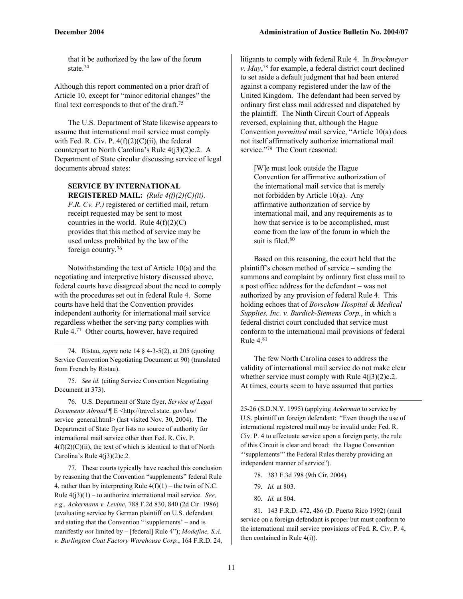that it be authorized by the law of the forum state<sup>74</sup>

Although this report commented on a prior draft of Article 10, except for "minor editorial changes" the final text corresponds to that of the draft.75

The U.S. Department of State likewise appears to assume that international mail service must comply with Fed. R. Civ. P.  $4(f)(2)(C)(ii)$ , the federal counterpart to North Carolina's Rule 4(j3)(2)c.2. A Department of State circular discussing service of legal documents abroad states:

# **SERVICE BY INTERNATIONAL REGISTERED MAIL:** *(Rule 4(f)(2)(C)(ii),*

*F.R. Cv. P.)* registered or certified mail, return receipt requested may be sent to most countries in the world. Rule  $4(f)(2)(C)$ provides that this method of service may be used unless prohibited by the law of the foreign country.76

Notwithstanding the text of Article 10(a) and the negotiating and interpretive history discussed above, federal courts have disagreed about the need to comply with the procedures set out in federal Rule 4. Some courts have held that the Convention provides independent authority for international mail service regardless whether the serving party complies with Rule 4.77 Other courts, however, have required

74. Ristau, *supra* note 14 § 4-3-5(2), at 205 (quoting Service Convention Negotiating Document at 90) (translated from French by Ristau).

75. *See id.* (citing Service Convention Negotiating Document at 373).

 $\overline{a}$ 

76. U.S. Department of State flyer, *Service of Legal Documents Abroad* ¶ E <http://travel.state. gov/law/ service\_general.html> (last visited Nov. 30, 2004). The Department of State flyer lists no source of authority for international mail service other than Fed. R. Civ. P.  $4(f)(2)(C)(ii)$ , the text of which is identical to that of North Carolina's Rule  $4(j3)(2)c.2$ .

77. These courts typically have reached this conclusion by reasoning that the Convention "supplements" federal Rule 4, rather than by interpreting Rule  $4(f)(1)$  – the twin of N.C. Rule 4(j3)(1) – to authorize international mail service. *See, e.g., Ackermann v. Levine*, 788 F.2d 830, 840 (2d Cir. 1986) (evaluating service by German plaintiff on U.S. defendant and stating that the Convention "'supplements' – and is manifestly *not* limited by – [federal] Rule 4"); *Modefine, S.A. v. Burlington Coat Factory Warehouse Corp.*, 164 F.R.D. 24,

litigants to comply with federal Rule 4. In *Brockmeyer v. May*, 78 for example, a federal district court declined to set aside a default judgment that had been entered against a company registered under the law of the United Kingdom. The defendant had been served by ordinary first class mail addressed and dispatched by the plaintiff. The Ninth Circuit Court of Appeals reversed, explaining that, although the Hague Convention *permitted* mail service, "Article 10(a) does not itself affirmatively authorize international mail service."79 The Court reasoned:

[W]e must look outside the Hague Convention for affirmative authorization of the international mail service that is merely not forbidden by Article 10(a). Any affirmative authorization of service by international mail, and any requirements as to how that service is to be accomplished, must come from the law of the forum in which the suit is filed.<sup>80</sup>

Based on this reasoning, the court held that the plaintiff's chosen method of service – sending the summons and complaint by ordinary first class mail to a post office address for the defendant – was not authorized by any provision of federal Rule 4. This holding echoes that of *Borschow Hospital & Medical Supplies, Inc. v. Burdick-Siemens Corp.*, in which a federal district court concluded that service must conform to the international mail provisions of federal Rule  $4^{81}$ 

The few North Carolina cases to address the validity of international mail service do not make clear whether service must comply with Rule  $4(3)(2)c.2$ . At times, courts seem to have assumed that parties

25-26 (S.D.N.Y. 1995) (applying *Ackerman* to service by U.S. plaintiff on foreign defendant: "Even though the use of international registered mail may be invalid under Fed. R. Civ. P. 4 to effectuate service upon a foreign party, the rule of this Circuit is clear and broad: the Hague Convention "'supplements'" the Federal Rules thereby providing an independent manner of service").

- 78. 383 F.3d 798 (9th Cir. 2004).
- 79. *Id.* at 803.

 $\overline{a}$ 

80. *Id.* at 804.

81. 143 F.R.D. 472, 486 (D. Puerto Rico 1992) (mail service on a foreign defendant is proper but must conform to the international mail service provisions of Fed. R. Civ. P. 4, then contained in Rule 4(i)).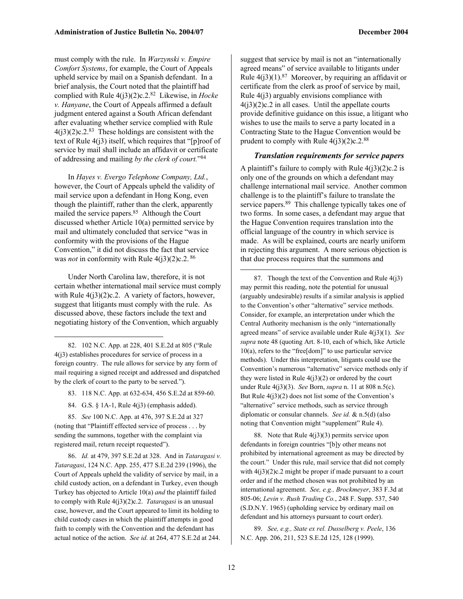must comply with the rule. In *Warzynski v. Empire Comfort Systems*, for example, the Court of Appeals upheld service by mail on a Spanish defendant. In a brief analysis, the Court noted that the plaintiff had complied with Rule 4(j3)(2)c.2.82 Likewise, in *Hocke v. Hanyane*, the Court of Appeals affirmed a default judgment entered against a South African defendant after evaluating whether service complied with Rule  $4(j3)(2)c.2.^{83}$  These holdings are consistent with the text of Rule 4(j3) itself, which requires that "[p]roof of service by mail shall include an affidavit or certificate of addressing and mailing *by the clerk of court.*"84

In *Hayes v. Evergo Telephone Company, Ltd.*, however, the Court of Appeals upheld the validity of mail service upon a defendant in Hong Kong, even though the plaintiff, rather than the clerk, apparently mailed the service papers.85 Although the Court discussed whether Article 10(a) permitted service by mail and ultimately concluded that service "was in conformity with the provisions of the Hague Convention," it did not discuss the fact that service was *not* in conformity with Rule 4(j3)(2)c.2. 86

Under North Carolina law, therefore, it is not certain whether international mail service must comply with Rule  $4(j3)(2)c.2$ . A variety of factors, however, suggest that litigants must comply with the rule. As discussed above, these factors include the text and negotiating history of the Convention, which arguably

82. 102 N.C. App. at 228, 401 S.E.2d at 805 ("Rule 4(j3) establishes procedures for service of process in a foreign country. The rule allows for service by any form of mail requiring a signed receipt and addressed and dispatched by the clerk of court to the party to be served.").

 $\overline{a}$ 

83. 118 N.C. App. at 632-634, 456 S.E.2d at 859-60.

84. G.S. § 1A-1, Rule 4(j3) (emphasis added).

85. *See* 100 N.C. App. at 476, 397 S.E.2d at 327 (noting that "Plaintiff effected service of process . . . by sending the summons, together with the complaint via registered mail, return receipt requested").

86. *Id.* at 479, 397 S.E.2d at 328. And in *Tataragasi v. Tataragasi*, 124 N.C. App. 255, 477 S.E.2d 239 (1996), the Court of Appeals upheld the validity of service by mail, in a child custody action, on a defendant in Turkey, even though Turkey has objected to Article 10(a) *and* the plaintiff failed to comply with Rule 4(j3)(2)c.2. *Tataragasi* is an unusual case, however, and the Court appeared to limit its holding to child custody cases in which the plaintiff attempts in good faith to comply with the Convention and the defendant has actual notice of the action. *See id*. at 264, 477 S.E.2d at 244.

suggest that service by mail is not an "internationally agreed means" of service available to litigants under Rule  $4(j3)(1)$ .<sup>87</sup> Moreover, by requiring an affidavit or certificate from the clerk as proof of service by mail, Rule  $4(i3)$  arguably envisions compliance with  $4(j3)(2)c.2$  in all cases. Until the appellate courts provide definitive guidance on this issue, a litigant who wishes to use the mails to serve a party located in a Contracting State to the Hague Convention would be

#### *Translation requirements for service papers*

prudent to comply with Rule  $4(j3)(2)c.2.^{88}$ 

A plaintiff's failure to comply with Rule  $4(i3)(2)c.2$  is only one of the grounds on which a defendant may challenge international mail service. Another common challenge is to the plaintiff's failure to translate the service papers.<sup>89</sup> This challenge typically takes one of two forms. In some cases, a defendant may argue that the Hague Convention requires translation into the official language of the country in which service is made. As will be explained, courts are nearly uniform in rejecting this argument. A more serious objection is that due process requires that the summons and

87. Though the text of the Convention and Rule  $4(j3)$ may permit this reading, note the potential for unusual (arguably undesirable) results if a similar analysis is applied to the Convention's other "alternative" service methods. Consider, for example, an interpretation under which the Central Authority mechanism is the only "internationally agreed means" of service available under Rule 4(j3)(1). *See supra* note 48 (quoting Art. 8-10, each of which, like Article 10(a), refers to the "free[dom]" to use particular service methods). Under this interpretation, litigants could use the Convention's numerous "alternative" service methods only if they were listed in Rule  $4(j3)(2)$  or ordered by the court under Rule 4(j3)(3). *See* Born, *supra* n. 11 at 808 n.5(c). But Rule  $4(j3)(2)$  does not list some of the Convention's "alternative" service methods, such as service through diplomatic or consular channels. *See id.* & n.5(d) (also noting that Convention might "supplement" Rule 4).

88. Note that Rule  $4(i3)(3)$  permits service upon defendants in foreign countries "[b]y other means not prohibited by international agreement as may be directed by the court." Under this rule, mail service that did not comply with  $4(3)(2)c.2$  might be proper if made pursuant to a court order and if the method chosen was not prohibited by an international agreement. *See, e.g., Brockmeyer*, 383 F.3d at 805-06; *Levin v. Rush Trading Co.*, 248 F. Supp. 537, 540 (S.D.N.Y. 1965) (upholding service by ordinary mail on defendant and his attorneys pursuant to court order).

89. *See, e.g., State ex rel. Dusselberg v. Peele*, 136 N.C. App. 206, 211, 523 S.E.2d 125, 128 (1999).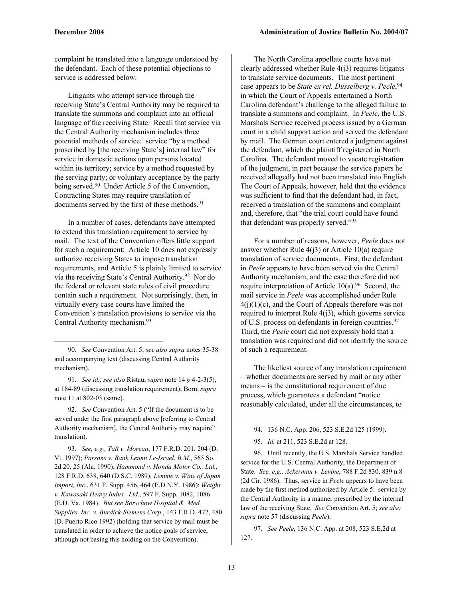complaint be translated into a language understood by the defendant. Each of these potential objections to service is addressed below.

Litigants who attempt service through the receiving State's Central Authority may be required to translate the summons and complaint into an official language of the receiving State. Recall that service via the Central Authority mechanism includes three potential methods of service: service "by a method proscribed by [the receiving State's] internal law" for service in domestic actions upon persons located within its territory; service by a method requested by the serving party; or voluntary acceptance by the party being served.<sup>90</sup> Under Article 5 of the Convention, Contracting States may require translation of documents served by the first of these methods.<sup>91</sup>

In a number of cases, defendants have attempted to extend this translation requirement to service by mail. The text of the Convention offers little support for such a requirement: Article 10 does not expressly authorize receiving States to impose translation requirements, and Article 5 is plainly limited to service via the receiving State's Central Authority.92 Nor do the federal or relevant state rules of civil procedure contain such a requirement. Not surprisingly, then, in virtually every case courts have limited the Convention's translation provisions to service via the Central Authority mechanism.93

1

91. *See id.*; *see also* Ristau, *supra* note 14 § 4-2-3(5), at 184-89 (discussing translation requirement); Born, *supra* note 11 at 802-03 (same).

92. *See* Convention Art. 5 ("If the document is to be served under the first paragraph above [referring to Central Authority mechanism], the Central Authority may require" translation).

93. *See, e.g., Taft v. Moreau*, 177 F.R.D. 201, 204 (D. Vt. 1997); *Parsons v. Bank Leumi Le-Israel, B.M.*, 565 So. 2d 20, 25 (Ala. 1990); *Hammond v. Honda Motor Co., Ltd.*, 128 F.R.D. 638, 640 (D.S.C. 1989); *Lemme v. Wine of Japan Import, Inc.*, 631 F. Supp. 456, 464 (E.D.N.Y. 1986); *Weight v. Kawasaki Heavy Indus., Ltd.*, 597 F. Supp. 1082, 1086 (E.D. Va. 1984). *But see Borschow Hospital & Med. Supplies, Inc. v. Burdick-Siemens Corp.*, 143 F.R.D. 472, 480 (D. Puerto Rico 1992) (holding that service by mail must be translated in order to achieve the notice goals of service, although not basing this holding on the Convention).

The North Carolina appellate courts have not clearly addressed whether Rule 4(j3) requires litigants to translate service documents. The most pertinent case appears to be *State ex rel. Dusselberg v. Peele*, 94 in which the Court of Appeals entertained a North Carolina defendant's challenge to the alleged failure to translate a summons and complaint. In *Peele*, the U.S. Marshals Service received process issued by a German court in a child support action and served the defendant by mail. The German court entered a judgment against the defendant, which the plaintiff registered in North Carolina. The defendant moved to vacate registration of the judgment, in part because the service papers he received allegedly had not been translated into English. The Court of Appeals, however, held that the evidence was sufficient to find that the defendant had, in fact, received a translation of the summons and complaint and, therefore, that "the trial court could have found that defendant was properly served."95

For a number of reasons, however, *Peele* does not answer whether Rule  $4(j3)$  or Article 10(a) require translation of service documents. First, the defendant in *Peele* appears to have been served via the Central Authority mechanism, and the case therefore did not require interpretation of Article  $10(a)$ .<sup>96</sup> Second, the mail service in *Peele* was accomplished under Rule  $4(j)(1)(c)$ , and the Court of Appeals therefore was not required to interpret Rule  $4(j3)$ , which governs service of U.S. process on defendants in foreign countries.97 Third, the *Peele* court did not expressly hold that a translation was required and did not identify the source of such a requirement.

The likeliest source of any translation requirement – whether documents are served by mail or any other means – is the constitutional requirement of due process, which guarantees a defendant "notice reasonably calculated, under all the circumstances, to

94. 136 N.C. App. 206, 523 S.E.2d 125 (1999).

95. *Id.* at 211, 523 S.E.2d at 128.

96. Until recently, the U.S. Marshals Service handled service for the U.S. Central Authority, the Department of State. *See, e.g., Ackerman v. Levine*, 788 F.2d 830, 839 n.8 (2d Cir. 1986). Thus, service in *Peele* appears to have been made by the first method authorized by Article 5: service by the Central Authority in a manner prescribed by the internal law of the receiving State. *See* Convention Art. 5; *see also supra* note 57 (discussing *Peele*).

97. *See Peele*, 136 N.C. App. at 208, 523 S.E.2d at 127.

<sup>90.</sup> *See* Convention Art. 5; *see also supra* notes 35-38 and accompanying text (discussing Central Authority mechanism).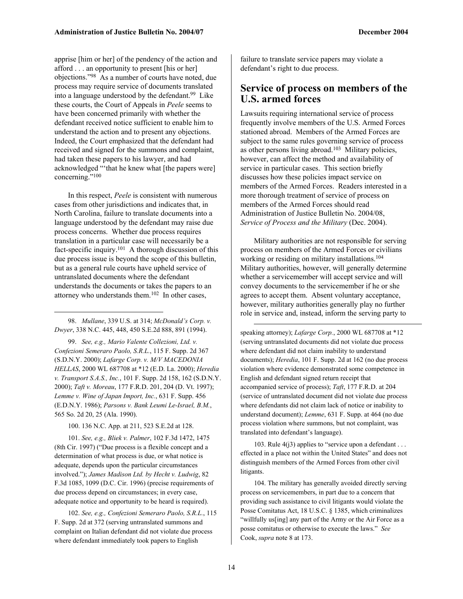apprise [him or her] of the pendency of the action and afford . . . an opportunity to present [his or her] objections."98 As a number of courts have noted, due process may require service of documents translated into a language understood by the defendant. $99$  Like these courts, the Court of Appeals in *Peele* seems to have been concerned primarily with whether the defendant received notice sufficient to enable him to understand the action and to present any objections. Indeed, the Court emphasized that the defendant had received and signed for the summons and complaint, had taken these papers to his lawyer, and had acknowledged "'that he knew what [the papers were] concerning."100

In this respect, *Peele* is consistent with numerous cases from other jurisdictions and indicates that, in North Carolina, failure to translate documents into a language understood by the defendant may raise due process concerns. Whether due process requires translation in a particular case will necessarily be a fact-specific inquiry.101 A thorough discussion of this due process issue is beyond the scope of this bulletin, but as a general rule courts have upheld service of untranslated documents where the defendant understands the documents or takes the papers to an attorney who understands them. $102$  In other cases,

98. *Mullane*, 339 U.S. at 314; *McDonald's Corp. v. Dwyer*, 338 N.C. 445, 448, 450 S.E.2d 888, 891 (1994).

-

99. *See, e.g., Mario Valente Collezioni, Ltd. v. Confezioni Semeraro Paolo, S.R.L.*, 115 F. Supp. 2d 367 (S.D.N.Y. 2000); *Lafarge Corp. v. M/V MACEDONIA HELLAS*, 2000 WL 687708 at \*12 (E.D. La. 2000); *Heredia v. Transport S.A.S., Inc.*, 101 F. Supp. 2d 158, 162 (S.D.N.Y. 2000); *Taft v. Moreau*, 177 F.R.D. 201, 204 (D. Vt. 1997); *Lemme v. Wine of Japan Import, Inc.*, 631 F. Supp. 456 (E.D.N.Y. 1986); *Parsons v. Bank Leumi Le-Israel, B.M.*, 565 So. 2d 20, 25 (Ala. 1990).

100. 136 N.C. App. at 211, 523 S.E.2d at 128.

101. *See, e.g., Bliek v. Palmer*, 102 F.3d 1472, 1475 (8th Cir. 1997) ("Due process is a flexible concept and a determination of what process is due, or what notice is adequate, depends upon the particular circumstances involved."); *James Madison Ltd. by Hecht v. Ludwig*, 82 F.3d 1085, 1099 (D.C. Cir. 1996) (precise requirements of due process depend on circumstances; in every case, adequate notice and opportunity to be heard is required).

102. *See, e.g., Confezioni Semeraro Paolo, S.R.L.*, 115 F. Supp. 2d at 372 (serving untranslated summons and complaint on Italian defendant did not violate due process where defendant immediately took papers to English

failure to translate service papers may violate a defendant's right to due process.

# **Service of process on members of the U.S. armed forces**

Lawsuits requiring international service of process frequently involve members of the U.S. Armed Forces stationed abroad. Members of the Armed Forces are subject to the same rules governing service of process as other persons living abroad.<sup>103</sup> Military policies, however, can affect the method and availability of service in particular cases. This section briefly discusses how these policies impact service on members of the Armed Forces. Readers interested in a more thorough treatment of service of process on members of the Armed Forces should read Administration of Justice Bulletin No. 2004/08, *Service of Process and the Military* (Dec. 2004).

Military authorities are not responsible for serving process on members of the Armed Forces or civilians working or residing on military installations.<sup>104</sup> Military authorities, however, will generally determine whether a servicemember will accept service and will convey documents to the servicemember if he or she agrees to accept them. Absent voluntary acceptance, however, military authorities generally play no further role in service and, instead, inform the serving party to

speaking attorney); *Lafarge Corp.*, 2000 WL 687708 at \*12 (serving untranslated documents did not violate due process where defendant did not claim inability to understand documents); *Heredia*, 101 F. Supp. 2d at 162 (no due process violation where evidence demonstrated some competence in English and defendant signed return receipt that accompanied service of process); *Taft*, 177 F.R.D. at 204 (service of untranslated document did not violate due process where defendants did not claim lack of notice or inability to understand document); *Lemme*, 631 F. Supp. at 464 (no due process violation where summons, but not complaint, was translated into defendant's language).

103. Rule  $4(j3)$  applies to "service upon a defendant . . . effected in a place not within the United States" and does not distinguish members of the Armed Forces from other civil litigants.

104. The military has generally avoided directly serving process on servicemembers, in part due to a concern that providing such assistance to civil litigants would violate the Posse Comitatus Act, 18 U.S.C. § 1385, which criminalizes "willfully us[ing] any part of the Army or the Air Force as a posse comitatus or otherwise to execute the laws." *See* Cook, *supra* note 8 at 173.

-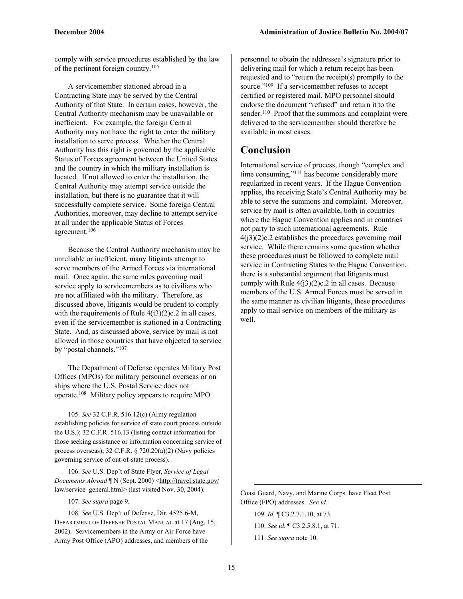comply with service procedures established by the law of the pertinent foreign country.105

A servicemember stationed abroad in a Contracting State may be served by the Central Authority of that State. In certain cases, however, the Central Authority mechanism may be unavailable or inefficient. For example, the foreign Central Authority may not have the right to enter the military installation to serve process. Whether the Central Authority has this right is governed by the applicable Status of Forces agreement between the United States and the country in which the military installation is located. If not allowed to enter the installation, the Central Authority may attempt service outside the installation, but there is no guarantee that it will successfully complete service. Some foreign Central Authorities, moreover, may decline to attempt service at all under the applicable Status of Forces agreement.106

Because the Central Authority mechanism may be unreliable or inefficient, many litigants attempt to serve members of the Armed Forces via international mail. Once again, the same rules governing mail service apply to servicemembers as to civilians who are not affiliated with the military. Therefore, as discussed above, litigants would be prudent to comply with the requirements of Rule  $4(13)(2)c.2$  in all cases, even if the servicemember is stationed in a Contracting State. And, as discussed above, service by mail is not allowed in those countries that have objected to service by "postal channels."107

The Department of Defense operates Military Post Offices (MPOs) for military personnel overseas or on ships where the U.S. Postal Service does not operate.108 Military policy appears to require MPO

105. *See* 32 C.F.R. 516.12(c) (Army regulation establishing policies for service of state court process outside the U.S.); 32 C.F.R. 516.13 (listing contact information for those seeking assistance or information concerning service of process overseas); 32 C.F.R. § 720.20(a)(2) (Navy policies governing service of out-of-state process).

106. *See* U.S. Dep't of State Flyer, *Service of Legal Documents Abroad* | N (Sept. 2000) <http://travel.state.gov/ law/service\_general.html> (last visited Nov. 30, 2004).

107. *See supra* page 9.

 $\overline{a}$ 

108. *See* U.S. Dep't of Defense, Dir. 4525.6-M, DEPARTMENT OF DEFENSE POSTAL MANUAL at 17 (Aug. 15, 2002). Servicemembers in the Army or Air Force have Army Post Office (APO) addresses, and members of the

personnel to obtain the addressee's signature prior to delivering mail for which a return receipt has been requested and to "return the receipt(s) promptly to the source."<sup>109</sup> If a servicemember refuses to accept certified or registered mail, MPO personnel should endorse the document "refused" and return it to the sender.<sup>110</sup> Proof that the summons and complaint were delivered to the servicemember should therefore be available in most cases.

# **Conclusion**

International service of process, though "complex and time consuming,"111 has become considerably more regularized in recent years. If the Hague Convention applies, the receiving State's Central Authority may be able to serve the summons and complaint. Moreover, service by mail is often available, both in countries where the Hague Convention applies and in countries not party to such international agreements. Rule  $4(i3)(2)c.2$  establishes the procedures governing mail service. While there remains some question whether these procedures must be followed to complete mail service in Contracting States to the Hague Convention, there is a substantial argument that litigants must comply with Rule  $4(j3)(2)c.2$  in all cases. Because members of the U.S. Armed Forces must be served in the same manner as civilian litigants, these procedures apply to mail service on members of the military as well.

Coast Guard, Navy, and Marine Corps. have Fleet Post Office (FPO) addresses. *See id.*

109. *Id.* ¶ C3.2.7.1.10, at 73.

110. *See id.* ¶ C3.2.5.8.1, at 71.

111. *See supra* note 10.

-